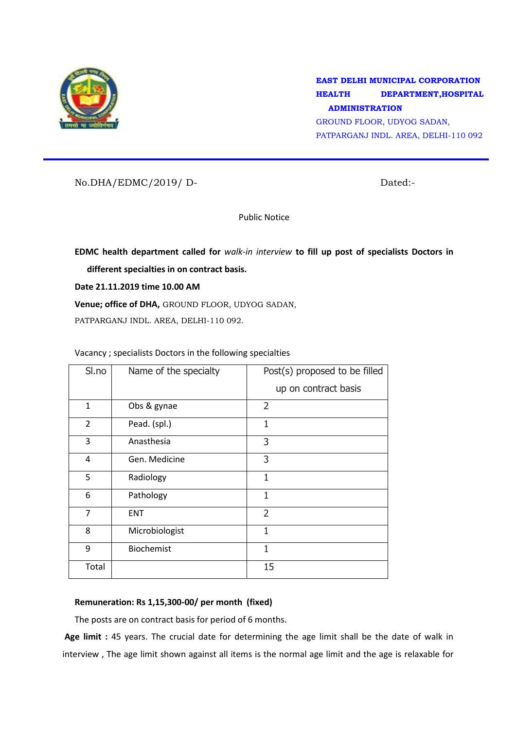

**EAST DELHI MUNICIPAL CORPORATION HEALTH DEPARTMENT,HOSPITAL ADMINISTRATION**

GROUND FLOOR, UDYOG SADAN, PATPARGANJ INDL. AREA, DELHI-110 092

No.DHA/EDMC/2019/ D- Dated:-

Public Notice

**EDMC health department called for** *walk-in interview* **to fill up post of specialists Doctors in different specialties in on contract basis.**

**Date 21.11.2019 time 10.00 AM**

**Venue; office of DHA,** GROUND FLOOR, UDYOG SADAN,

PATPARGANJ INDL. AREA, DELHI-110 092.

Vacancy ; specialists Doctors in the following specialties

| Sl.no          | Name of the specialty | Post(s) proposed to be filled<br>up on contract basis |
|----------------|-----------------------|-------------------------------------------------------|
| $\mathbf{1}$   | Obs & gynae           | $\overline{2}$                                        |
| $\overline{2}$ | Pead. (spl.)          | 1                                                     |
| 3              | Anasthesia            | 3                                                     |
| 4              | Gen. Medicine         | 3                                                     |
| 5              | Radiology             | 1                                                     |
| 6              | Pathology             | $\mathbf{1}$                                          |
| 7              | <b>ENT</b>            | $\overline{2}$                                        |
| 8              | Microbiologist        | 1                                                     |
| 9              | <b>Biochemist</b>     | 1                                                     |
| Total          |                       | 15                                                    |

## **Remuneration: Rs 1,15,300-00/ per month (fixed)**

The posts are on contract basis for period of 6 months.

**Age limit :** 45 years. The crucial date for determining the age limit shall be the date of walk in interview , The age limit shown against all items is the normal age limit and the age is relaxable for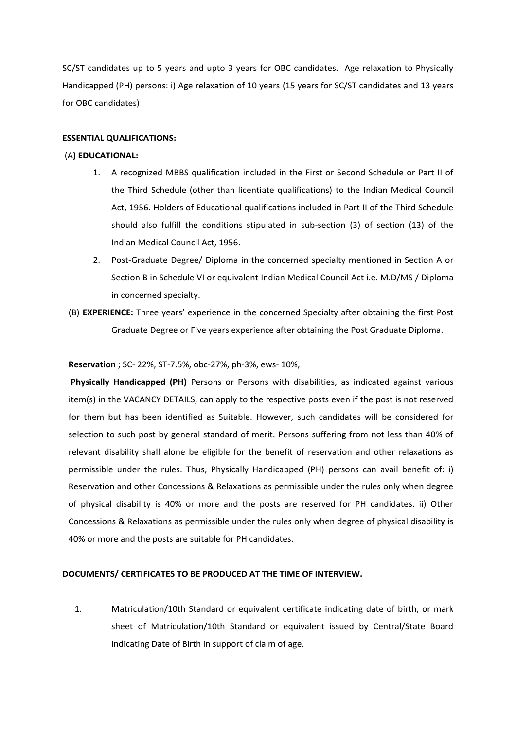SC/ST candidates up to 5 years and upto 3 years for OBC candidates. Age relaxation to Physically Handicapped (PH) persons: i) Age relaxation of 10 years (15 years for SC/ST candidates and 13 years for OBC candidates)

### **ESSENTIAL QUALIFICATIONS:**

### (A**) EDUCATIONAL:**

- 1. A recognized MBBS qualification included in the First or Second Schedule or Part II of the Third Schedule (other than licentiate qualifications) to the Indian Medical Council Act, 1956. Holders of Educational qualifications included in Part II of the Third Schedule should also fulfill the conditions stipulated in sub-section (3) of section (13) of the Indian Medical Council Act, 1956.
- 2. Post-Graduate Degree/ Diploma in the concerned specialty mentioned in Section A or Section B in Schedule VI or equivalent Indian Medical Council Act i.e. M.D/MS / Diploma in concerned specialty.
- (B) **EXPERIENCE:** Three years' experience in the concerned Specialty after obtaining the first Post Graduate Degree or Five years experience after obtaining the Post Graduate Diploma.

#### **Reservation** ; SC- 22%, ST-7.5%, obc-27%, ph-3%, ews- 10%,

**Physically Handicapped (PH)** Persons or Persons with disabilities, as indicated against various item(s) in the VACANCY DETAILS, can apply to the respective posts even if the post is not reserved for them but has been identified as Suitable. However, such candidates will be considered for selection to such post by general standard of merit. Persons suffering from not less than 40% of relevant disability shall alone be eligible for the benefit of reservation and other relaxations as permissible under the rules. Thus, Physically Handicapped (PH) persons can avail benefit of: i) Reservation and other Concessions & Relaxations as permissible under the rules only when degree of physical disability is 40% or more and the posts are reserved for PH candidates. ii) Other Concessions & Relaxations as permissible under the rules only when degree of physical disability is 40% or more and the posts are suitable for PH candidates.

# **DOCUMENTS/ CERTIFICATES TO BE PRODUCED AT THE TIME OF INTERVIEW.**

1. Matriculation/10th Standard or equivalent certificate indicating date of birth, or mark sheet of Matriculation/10th Standard or equivalent issued by Central/State Board indicating Date of Birth in support of claim of age.